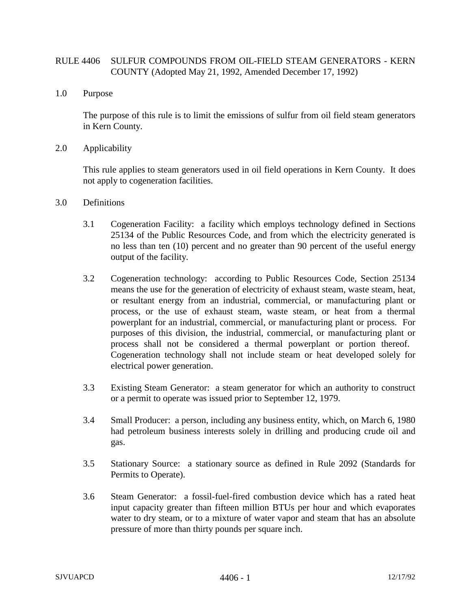## RULE 4406 SULFUR COMPOUNDS FROM OIL-FIELD STEAM GENERATORS - KERN COUNTY (Adopted May 21, 1992, Amended December 17, 1992)

1.0 Purpose

The purpose of this rule is to limit the emissions of sulfur from oil field steam generators in Kern County.

2.0 Applicability

This rule applies to steam generators used in oil field operations in Kern County. It does not apply to cogeneration facilities.

- 3.0 Definitions
	- 3.1 Cogeneration Facility: a facility which employs technology defined in Sections 25134 of the Public Resources Code, and from which the electricity generated is no less than ten (10) percent and no greater than 90 percent of the useful energy output of the facility.
	- 3.2 Cogeneration technology: according to Public Resources Code, Section 25134 means the use for the generation of electricity of exhaust steam, waste steam, heat, or resultant energy from an industrial, commercial, or manufacturing plant or process, or the use of exhaust steam, waste steam, or heat from a thermal powerplant for an industrial, commercial, or manufacturing plant or process. For purposes of this division, the industrial, commercial, or manufacturing plant or process shall not be considered a thermal powerplant or portion thereof. Cogeneration technology shall not include steam or heat developed solely for electrical power generation.
	- 3.3 Existing Steam Generator: a steam generator for which an authority to construct or a permit to operate was issued prior to September 12, 1979.
	- 3.4 Small Producer: a person, including any business entity, which, on March 6, 1980 had petroleum business interests solely in drilling and producing crude oil and gas.
	- 3.5 Stationary Source: a stationary source as defined in Rule 2092 (Standards for Permits to Operate).
	- 3.6 Steam Generator: a fossil-fuel-fired combustion device which has a rated heat input capacity greater than fifteen million BTUs per hour and which evaporates water to dry steam, or to a mixture of water vapor and steam that has an absolute pressure of more than thirty pounds per square inch.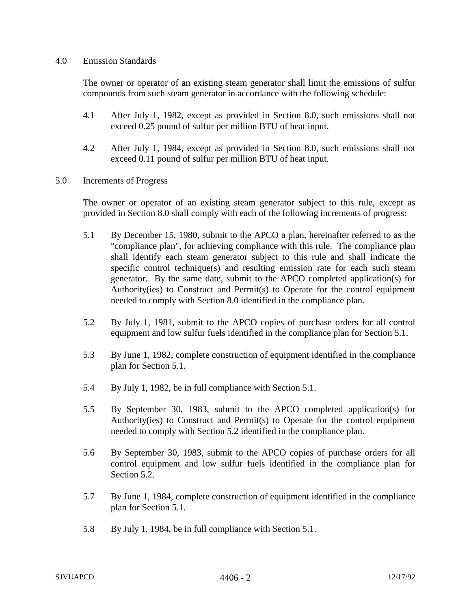## 4.0 Emission Standards

The owner or operator of an existing steam generator shall limit the emissions of sulfur compounds from such steam generator in accordance with the following schedule:

- 4.1 After July 1, 1982, except as provided in Section 8.0, such emissions shall not exceed 0.25 pound of sulfur per million BTU of heat input.
- 4.2 After July 1, 1984, except as provided in Section 8.0, such emissions shall not exceed 0.11 pound of sulfur per million BTU of heat input.
- 5.0 Increments of Progress

The owner or operator of an existing steam generator subject to this rule, except as provided in Section 8.0 shall comply with each of the following increments of progress:

- 5.1 By December 15, 1980, submit to the APCO a plan, hereinafter referred to as the "compliance plan", for achieving compliance with this rule. The compliance plan shall identify each steam generator subject to this rule and shall indicate the specific control technique(s) and resulting emission rate for each such steam generator. By the same date, submit to the APCO completed application(s) for Authority(ies) to Construct and Permit(s) to Operate for the control equipment needed to comply with Section 8.0 identified in the compliance plan.
- 5.2 By July 1, 1981, submit to the APCO copies of purchase orders for all control equipment and low sulfur fuels identified in the compliance plan for Section 5.1.
- 5.3 By June 1, 1982, complete construction of equipment identified in the compliance plan for Section 5.1.
- 5.4 By July 1, 1982, be in full compliance with Section 5.1.
- 5.5 By September 30, 1983, submit to the APCO completed application(s) for Authority(ies) to Construct and Permit(s) to Operate for the control equipment needed to comply with Section 5.2 identified in the compliance plan.
- 5.6 By September 30, 1983, submit to the APCO copies of purchase orders for all control equipment and low sulfur fuels identified in the compliance plan for Section 5.2.
- 5.7 By June 1, 1984, complete construction of equipment identified in the compliance plan for Section 5.1.
- 5.8 By July 1, 1984, be in full compliance with Section 5.1.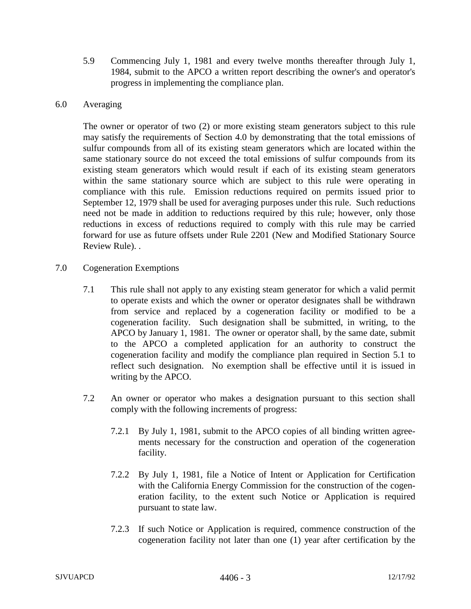5.9 Commencing July 1, 1981 and every twelve months thereafter through July 1, 1984, submit to the APCO a written report describing the owner's and operator's progress in implementing the compliance plan.

## 6.0 Averaging

The owner or operator of two (2) or more existing steam generators subject to this rule may satisfy the requirements of Section 4.0 by demonstrating that the total emissions of sulfur compounds from all of its existing steam generators which are located within the same stationary source do not exceed the total emissions of sulfur compounds from its existing steam generators which would result if each of its existing steam generators within the same stationary source which are subject to this rule were operating in compliance with this rule. Emission reductions required on permits issued prior to September 12, 1979 shall be used for averaging purposes under this rule. Such reductions need not be made in addition to reductions required by this rule; however, only those reductions in excess of reductions required to comply with this rule may be carried forward for use as future offsets under Rule 2201 (New and Modified Stationary Source Review Rule). .

- 7.0 Cogeneration Exemptions
	- 7.1 This rule shall not apply to any existing steam generator for which a valid permit to operate exists and which the owner or operator designates shall be withdrawn from service and replaced by a cogeneration facility or modified to be a cogeneration facility. Such designation shall be submitted, in writing, to the APCO by January 1, 1981. The owner or operator shall, by the same date, submit to the APCO a completed application for an authority to construct the cogeneration facility and modify the compliance plan required in Section 5.1 to reflect such designation. No exemption shall be effective until it is issued in writing by the APCO.
	- 7.2 An owner or operator who makes a designation pursuant to this section shall comply with the following increments of progress:
		- 7.2.1 By July 1, 1981, submit to the APCO copies of all binding written agreements necessary for the construction and operation of the cogeneration facility.
		- 7.2.2 By July 1, 1981, file a Notice of Intent or Application for Certification with the California Energy Commission for the construction of the cogeneration facility, to the extent such Notice or Application is required pursuant to state law.
		- 7.2.3 If such Notice or Application is required, commence construction of the cogeneration facility not later than one (1) year after certification by the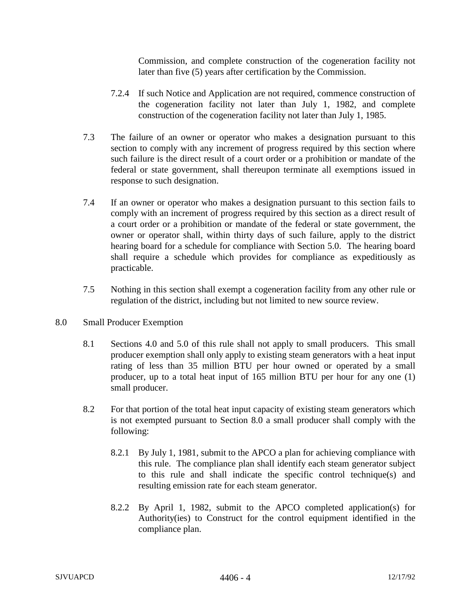Commission, and complete construction of the cogeneration facility not later than five (5) years after certification by the Commission.

- 7.2.4 If such Notice and Application are not required, commence construction of the cogeneration facility not later than July 1, 1982, and complete construction of the cogeneration facility not later than July 1, 1985.
- 7.3 The failure of an owner or operator who makes a designation pursuant to this section to comply with any increment of progress required by this section where such failure is the direct result of a court order or a prohibition or mandate of the federal or state government, shall thereupon terminate all exemptions issued in response to such designation.
- 7.4 If an owner or operator who makes a designation pursuant to this section fails to comply with an increment of progress required by this section as a direct result of a court order or a prohibition or mandate of the federal or state government, the owner or operator shall, within thirty days of such failure, apply to the district hearing board for a schedule for compliance with Section 5.0. The hearing board shall require a schedule which provides for compliance as expeditiously as practicable.
- 7.5 Nothing in this section shall exempt a cogeneration facility from any other rule or regulation of the district, including but not limited to new source review.
- 8.0 Small Producer Exemption
	- 8.1 Sections 4.0 and 5.0 of this rule shall not apply to small producers. This small producer exemption shall only apply to existing steam generators with a heat input rating of less than 35 million BTU per hour owned or operated by a small producer, up to a total heat input of 165 million BTU per hour for any one (1) small producer.
	- 8.2 For that portion of the total heat input capacity of existing steam generators which is not exempted pursuant to Section 8.0 a small producer shall comply with the following:
		- 8.2.1 By July 1, 1981, submit to the APCO a plan for achieving compliance with this rule. The compliance plan shall identify each steam generator subject to this rule and shall indicate the specific control technique(s) and resulting emission rate for each steam generator.
		- 8.2.2 By April 1, 1982, submit to the APCO completed application(s) for Authority(ies) to Construct for the control equipment identified in the compliance plan.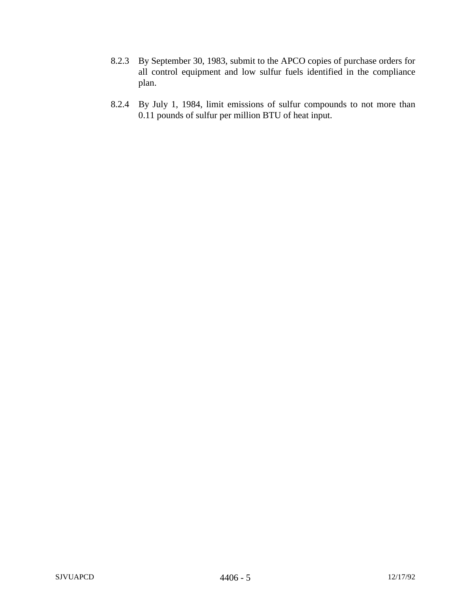- 8.2.3 By September 30, 1983, submit to the APCO copies of purchase orders for all control equipment and low sulfur fuels identified in the compliance plan.
- 8.2.4 By July 1, 1984, limit emissions of sulfur compounds to not more than 0.11 pounds of sulfur per million BTU of heat input.